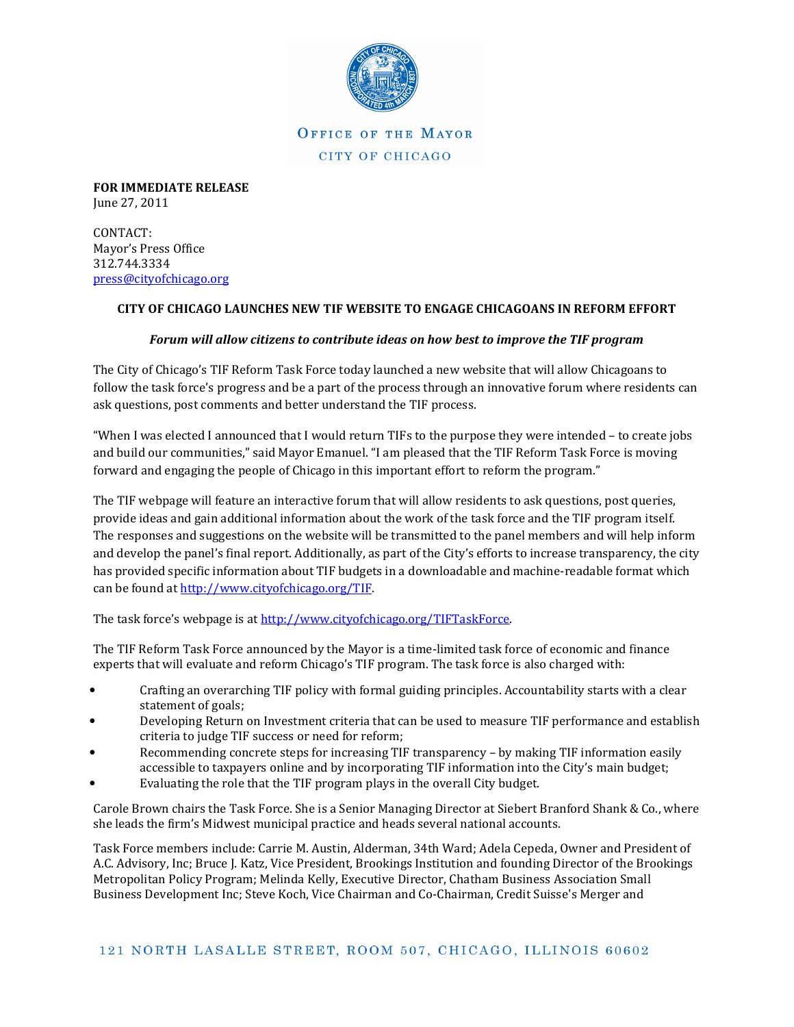

OFFICE OF THE MAYOR CITY OF CHICAGO

FOR IMMEDIATE RELEASE June 27, 2011

CONTACT: Mayor's Press Office 312.744.3334 press@cityofchicago.org

## CITY OF CHICAGO LAUNCHES NEW TIF WEBSITE TO ENGAGE CHICAGOANS IN REFORM EFFORT

## Forum will allow citizens to contribute ideas on how best to improve the TIF program

The City of Chicago's TIF Reform Task Force today launched a new website that will allow Chicagoans to follow the task force's progress and be a part of the process through an innovative forum where residents can ask questions, post comments and better understand the TIF process.

"When I was elected I announced that I would return TIFs to the purpose they were intended – to create jobs and build our communities," said Mayor Emanuel. "I am pleased that the TIF Reform Task Force is moving forward and engaging the people of Chicago in this important effort to reform the program."

The TIF webpage will feature an interactive forum that will allow residents to ask questions, post queries, provide ideas and gain additional information about the work of the task force and the TIF program itself. The responses and suggestions on the website will be transmitted to the panel members and will help inform and develop the panel's final report. Additionally, as part of the City's efforts to increase transparency, the city has provided specific information about TIF budgets in a downloadable and machine-readable format which can be found at http://www.cityofchicago.org/TIF.

The task force's webpage is at http://www.cityofchicago.org/TIFTaskForce.

The TIF Reform Task Force announced by the Mayor is a time-limited task force of economic and finance experts that will evaluate and reform Chicago's TIF program. The task force is also charged with:

- Crafting an overarching TIF policy with formal guiding principles. Accountability starts with a clear statement of goals;
- Developing Return on Investment criteria that can be used to measure TIF performance and establish criteria to judge TIF success or need for reform;
- Recommending concrete steps for increasing TIF transparency by making TIF information easily accessible to taxpayers online and by incorporating TIF information into the City's main budget;
- Evaluating the role that the TIF program plays in the overall City budget.

Carole Brown chairs the Task Force. She is a Senior Managing Director at Siebert Branford Shank & Co., where she leads the firm's Midwest municipal practice and heads several national accounts.

Task Force members include: Carrie M. Austin, Alderman, 34th Ward; Adela Cepeda, Owner and President of A.C. Advisory, Inc; Bruce J. Katz, Vice President, Brookings Institution and founding Director of the Brookings Metropolitan Policy Program; Melinda Kelly, Executive Director, Chatham Business Association Small Business Development Inc; Steve Koch, Vice Chairman and Co-Chairman, Credit Suisse's Merger and